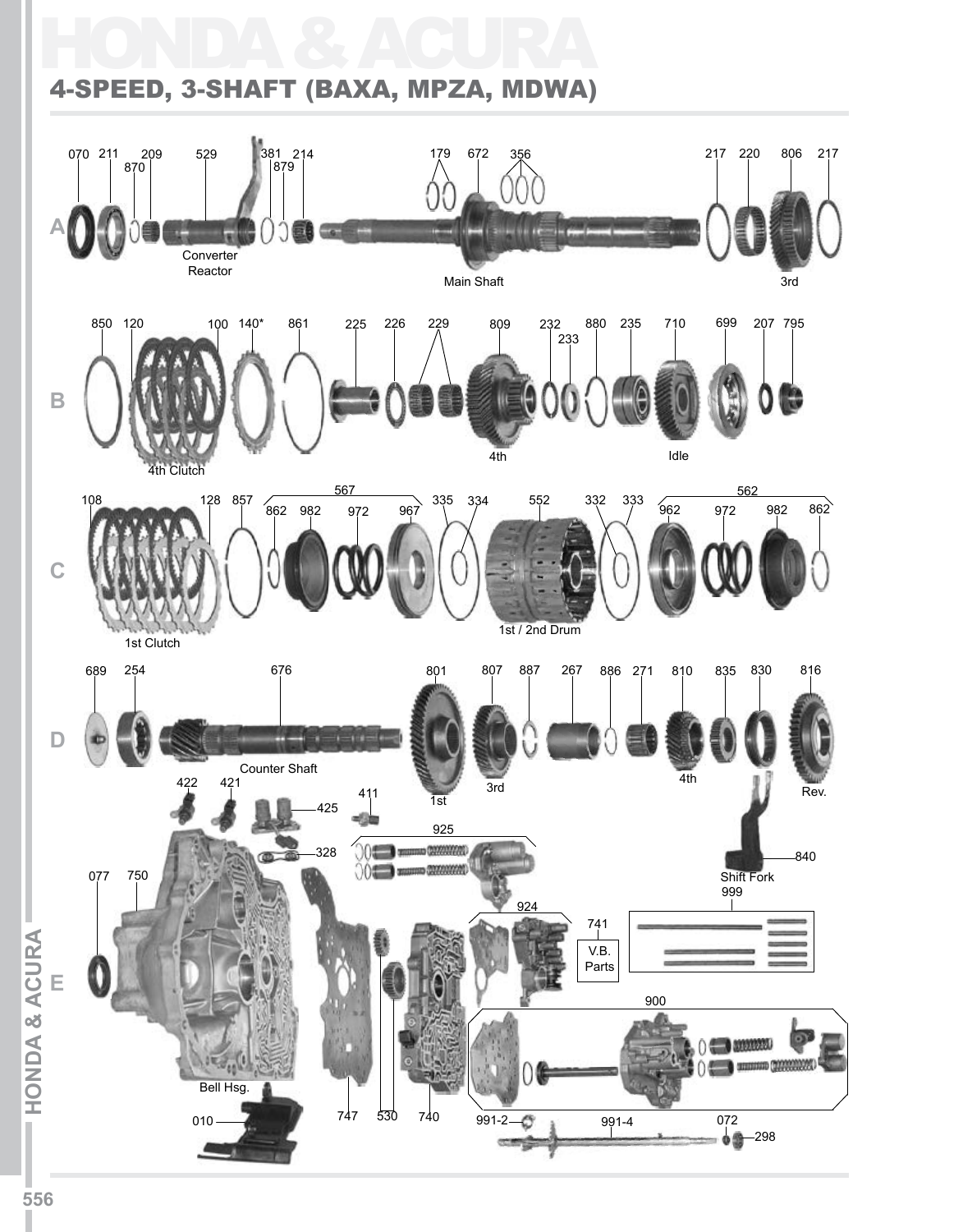## HONDA & ACURA 4-SPEED, 3-SHAFT (BAXA, MPZA, MDWA)

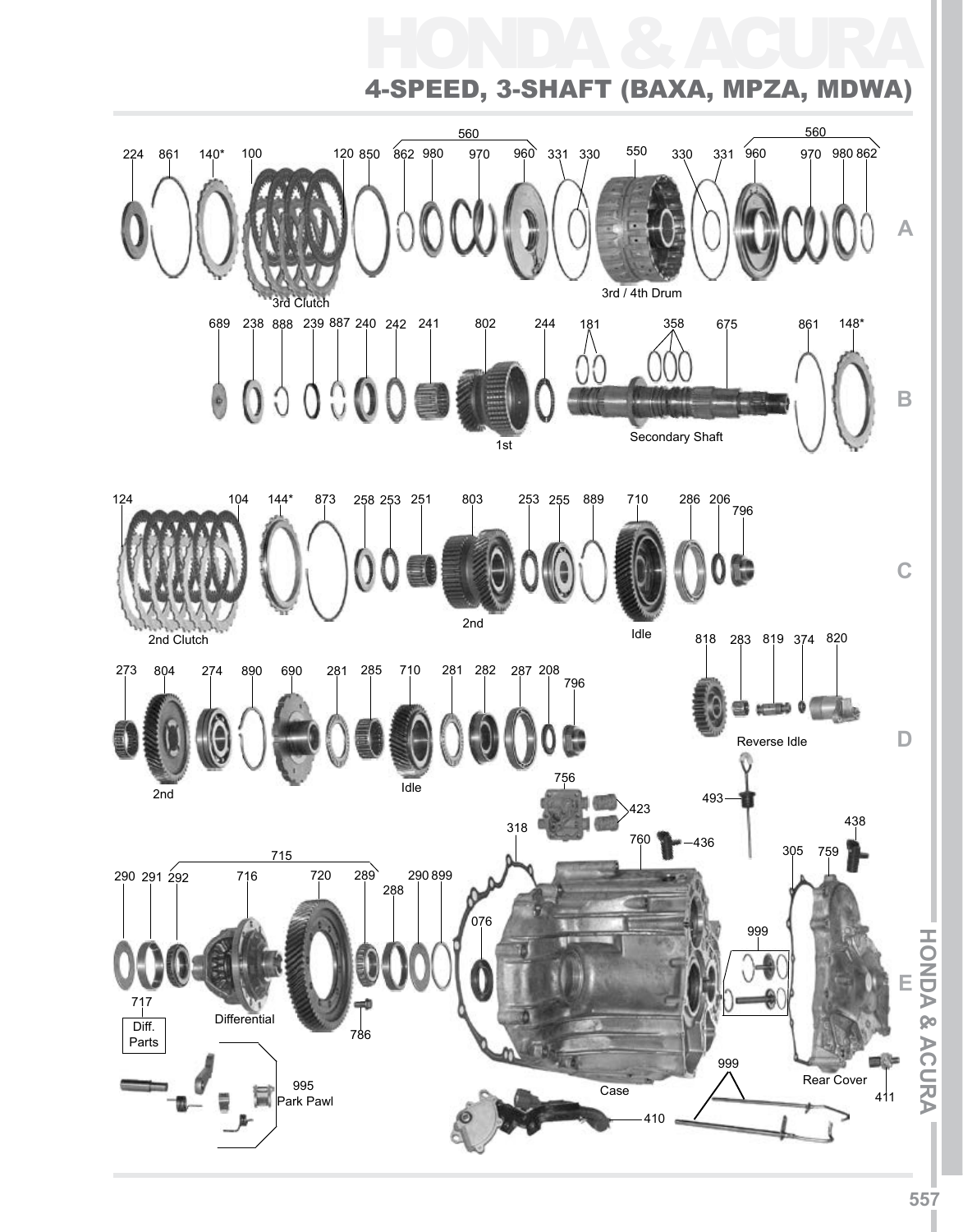# HONDA & ACURA 4-Speed, 3-Shaft (BAXA, MPZA, MDWA)

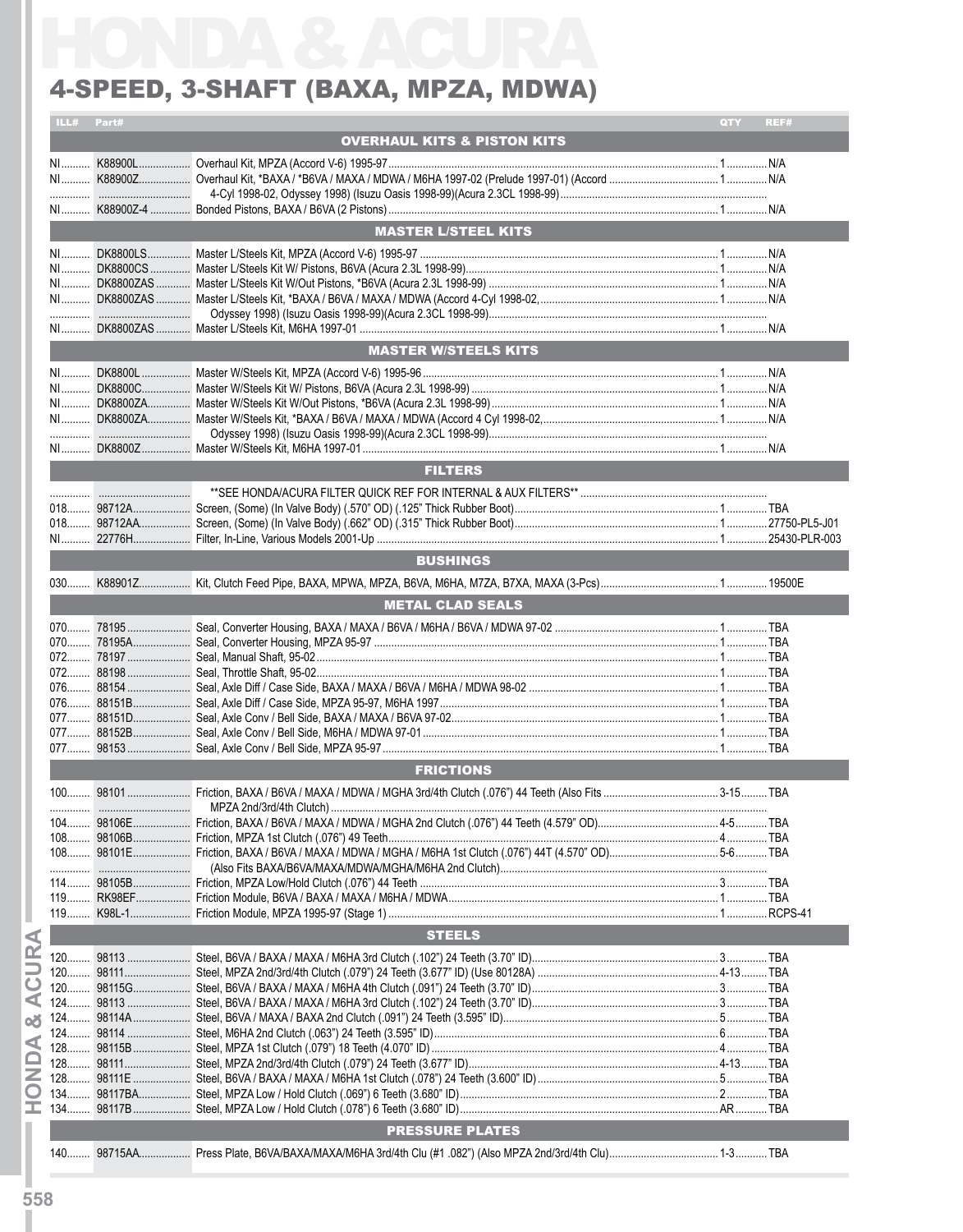#### 4-SPEED, 3-SHAFT (BAXA, MPZA, MDWA)

| ILL#<br>Part# |                                                                                                      | QTY | REF# |
|---------------|------------------------------------------------------------------------------------------------------|-----|------|
|               | <b>OVERHAUL KITS &amp; PISTON KITS</b>                                                               |     |      |
|               |                                                                                                      |     |      |
|               |                                                                                                      |     |      |
|               |                                                                                                      |     |      |
|               |                                                                                                      |     |      |
|               |                                                                                                      |     |      |
|               | <b>MASTER L/STEEL KITS</b>                                                                           |     |      |
|               |                                                                                                      |     |      |
|               |                                                                                                      |     |      |
|               |                                                                                                      |     |      |
|               |                                                                                                      |     |      |
|               | ……………………………  Odyssey 1998) (Isuzu Oasis 1998-99)(Acura 2.3CL 1998-99)………………………………………………………………………………… |     |      |
|               |                                                                                                      |     |      |
|               | <b>MASTER W/STEELS KITS</b>                                                                          |     |      |
|               |                                                                                                      |     |      |
|               |                                                                                                      |     |      |
|               |                                                                                                      |     |      |
|               |                                                                                                      |     |      |
|               |                                                                                                      |     |      |
|               |                                                                                                      |     |      |
|               |                                                                                                      |     |      |
|               | <b>FILTERS</b>                                                                                       |     |      |
|               |                                                                                                      |     |      |
|               |                                                                                                      |     |      |
|               |                                                                                                      |     |      |
|               |                                                                                                      |     |      |
|               |                                                                                                      |     |      |
|               | <b>BUSHINGS</b>                                                                                      |     |      |
|               |                                                                                                      |     |      |
|               | <b>METAL CLAD SEALS</b>                                                                              |     |      |
|               |                                                                                                      |     |      |
|               |                                                                                                      |     |      |
|               |                                                                                                      |     |      |
|               |                                                                                                      |     |      |
|               |                                                                                                      |     |      |
|               |                                                                                                      |     |      |
|               |                                                                                                      |     |      |
|               |                                                                                                      |     |      |
|               |                                                                                                      |     |      |
|               |                                                                                                      |     |      |
|               | <b>FRICTIONS</b>                                                                                     |     |      |
|               |                                                                                                      |     |      |
|               |                                                                                                      |     |      |
| $104$         |                                                                                                      |     |      |
|               |                                                                                                      |     |      |
|               |                                                                                                      |     |      |
| .             |                                                                                                      |     |      |
|               |                                                                                                      |     |      |
|               |                                                                                                      |     |      |
|               |                                                                                                      |     |      |
|               | <b>STEELS</b>                                                                                        |     |      |
|               |                                                                                                      |     |      |
|               |                                                                                                      |     |      |
|               |                                                                                                      |     |      |
|               |                                                                                                      |     |      |
|               |                                                                                                      |     |      |
|               |                                                                                                      |     |      |
|               |                                                                                                      |     |      |
|               |                                                                                                      |     |      |
|               |                                                                                                      |     |      |
|               |                                                                                                      |     |      |
|               |                                                                                                      |     |      |
|               |                                                                                                      |     |      |
|               | <b>PRESSURE PLATES</b>                                                                               |     |      |
|               |                                                                                                      |     |      |
|               |                                                                                                      |     |      |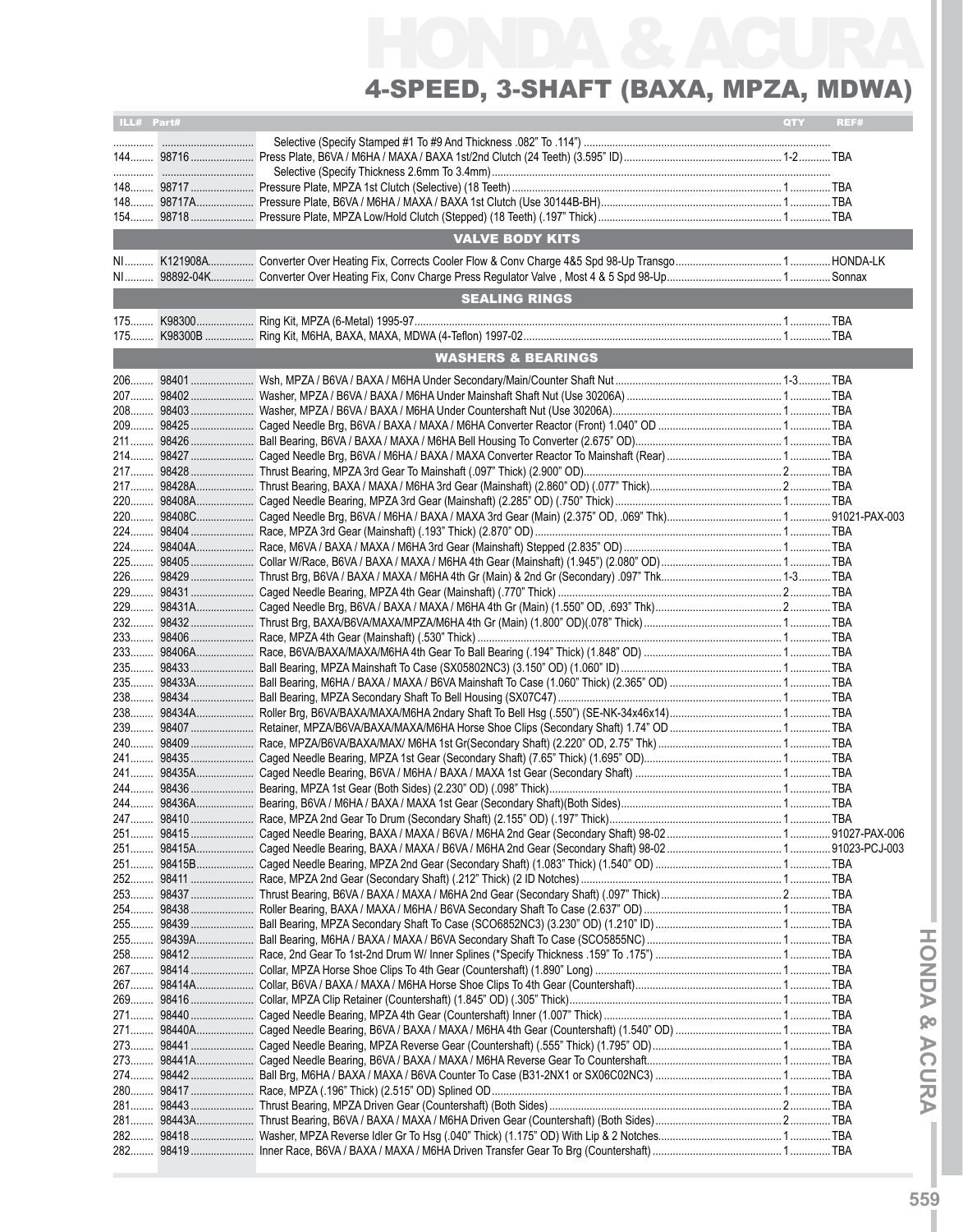# HONDA & ACURA 4-Speed, 3-Shaft (BAXA, MPZA, MDWA)

| ILL# Part# |           |                               | <b>QTY</b> | REF# |
|------------|-----------|-------------------------------|------------|------|
|            |           |                               |            |      |
|            |           |                               |            |      |
|            |           |                               |            |      |
|            |           |                               |            |      |
|            |           | <b>VALVE BODY KITS</b>        |            |      |
|            |           |                               |            |      |
|            |           |                               |            |      |
|            |           | <b>SEALING RINGS</b>          |            |      |
|            |           |                               |            |      |
|            |           |                               |            |      |
|            |           | <b>WASHERS &amp; BEARINGS</b> |            |      |
|            |           |                               |            |      |
|            |           |                               |            |      |
|            |           |                               |            |      |
|            |           |                               |            |      |
| 211        |           |                               |            |      |
| $214$      | 98427     |                               |            |      |
|            |           |                               |            |      |
|            |           |                               |            |      |
|            | 22098408A |                               |            |      |
| 220        | 98408C    |                               |            |      |
| 224        |           |                               |            |      |
|            |           |                               |            |      |
|            |           |                               |            |      |
| 226        | 98429     |                               |            |      |
| 229        | 98431     |                               |            |      |
| 229        | 98431A    |                               |            |      |
|            |           |                               |            |      |
|            |           |                               |            |      |
| 233        |           |                               |            |      |
| 235        |           |                               |            |      |
| 235        | 98433A    |                               |            |      |
|            |           |                               |            |      |
|            |           |                               |            |      |
|            |           |                               |            |      |
| 240        | 98409     |                               |            |      |
|            |           |                               |            |      |
|            |           |                               |            |      |
|            |           |                               |            |      |
|            |           |                               |            |      |
| $247$      | 98410     |                               |            |      |
|            |           |                               |            |      |
|            |           |                               |            |      |
|            |           |                               |            |      |
|            |           |                               |            |      |
|            |           |                               |            |      |
|            |           |                               |            |      |
|            |           |                               |            |      |
|            |           |                               |            |      |
|            |           |                               |            |      |
|            |           |                               |            |      |
|            |           |                               |            |      |
|            |           |                               |            |      |
|            |           |                               |            |      |
|            |           |                               |            |      |
|            |           |                               |            |      |
|            |           |                               |            |      |
|            |           |                               |            |      |
|            |           |                               |            |      |
|            |           |                               |            |      |
|            |           |                               |            |      |
|            |           |                               |            |      |
|            |           |                               |            |      |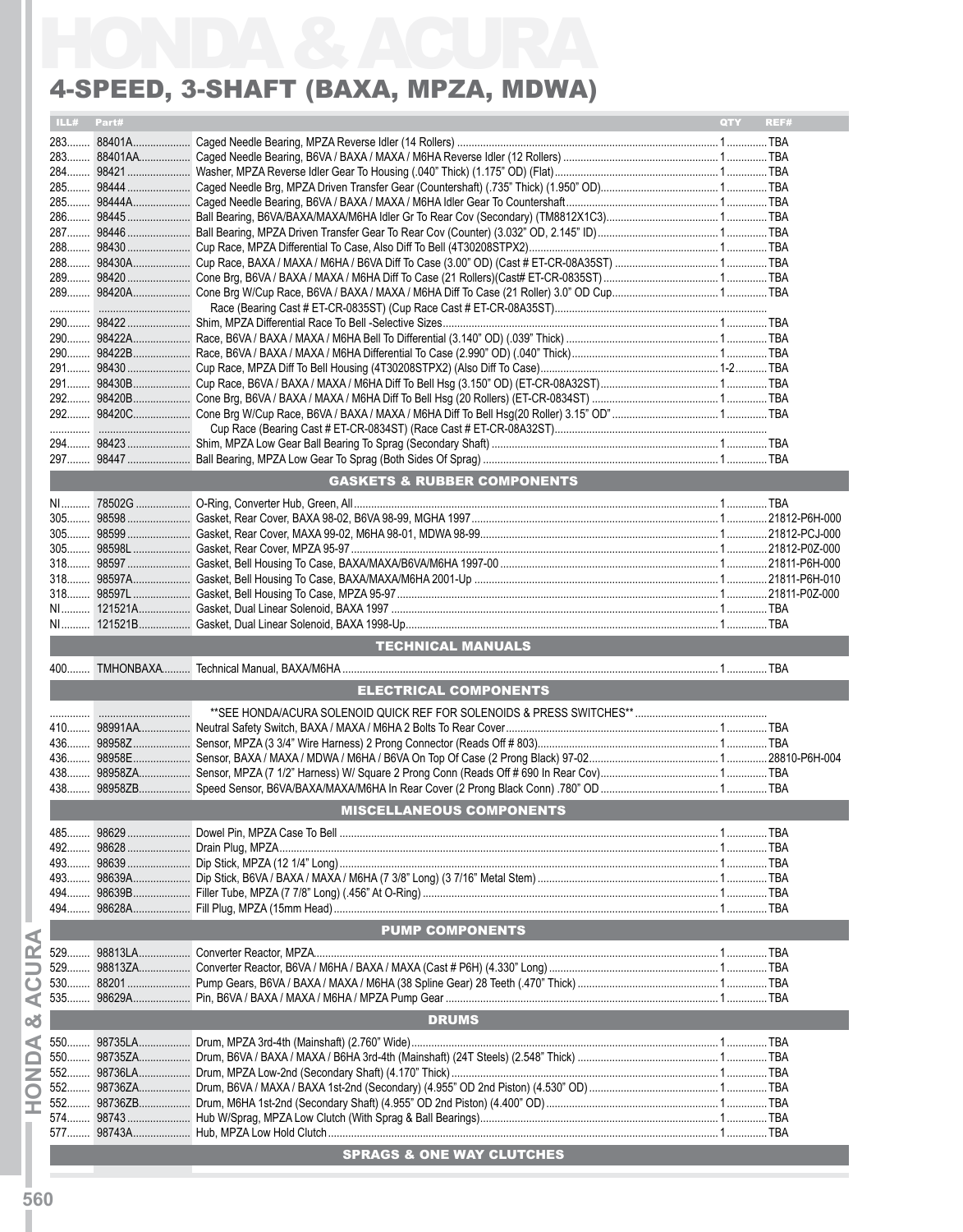#### 4-Speed, 3-Shaft (BAXA, MPZA, MDWA)

| 4-SPEED, 3-SHAFT (BAXA, MPZA, MDWA) |                                        |            |      |
|-------------------------------------|----------------------------------------|------------|------|
| ILL# Part#                          |                                        | <b>QTY</b> | REF# |
|                                     |                                        |            |      |
|                                     |                                        |            |      |
|                                     |                                        |            |      |
|                                     |                                        |            |      |
|                                     |                                        |            |      |
|                                     |                                        |            |      |
|                                     |                                        |            |      |
|                                     |                                        |            |      |
|                                     |                                        |            |      |
|                                     |                                        |            |      |
|                                     |                                        |            |      |
|                                     |                                        |            |      |
|                                     |                                        |            |      |
|                                     |                                        |            |      |
|                                     |                                        |            |      |
|                                     |                                        |            |      |
|                                     |                                        |            |      |
|                                     |                                        |            |      |
|                                     |                                        |            |      |
|                                     |                                        |            |      |
|                                     |                                        |            |      |
|                                     | <b>GASKETS &amp; RUBBER COMPONENTS</b> |            |      |
|                                     |                                        |            |      |
|                                     |                                        |            |      |
|                                     |                                        |            |      |
|                                     |                                        |            |      |
|                                     |                                        |            |      |
|                                     |                                        |            |      |
|                                     |                                        |            |      |
|                                     |                                        |            |      |
|                                     |                                        |            |      |
|                                     |                                        |            |      |
|                                     | <b>TECHNICAL MANUALS</b>               |            |      |
|                                     | <b>ELECTRICAL COMPONENTS</b>           |            |      |
|                                     |                                        |            |      |
|                                     |                                        |            |      |
|                                     |                                        |            |      |
|                                     |                                        |            |      |
|                                     |                                        |            |      |
|                                     |                                        |            |      |
|                                     | <b>MISCELLANEOUS COMPONENTS</b>        |            |      |
|                                     |                                        |            |      |
|                                     |                                        |            |      |
|                                     |                                        |            |      |
|                                     |                                        |            |      |
|                                     |                                        |            |      |
|                                     |                                        |            |      |
|                                     | <b>PUMP COMPONENTS</b>                 |            |      |
|                                     |                                        |            |      |
|                                     |                                        |            |      |
|                                     |                                        |            |      |
|                                     | <b>DRUMS</b>                           |            |      |
|                                     |                                        |            |      |
|                                     |                                        |            |      |
|                                     |                                        |            |      |
|                                     |                                        |            |      |
|                                     |                                        |            |      |
|                                     |                                        |            |      |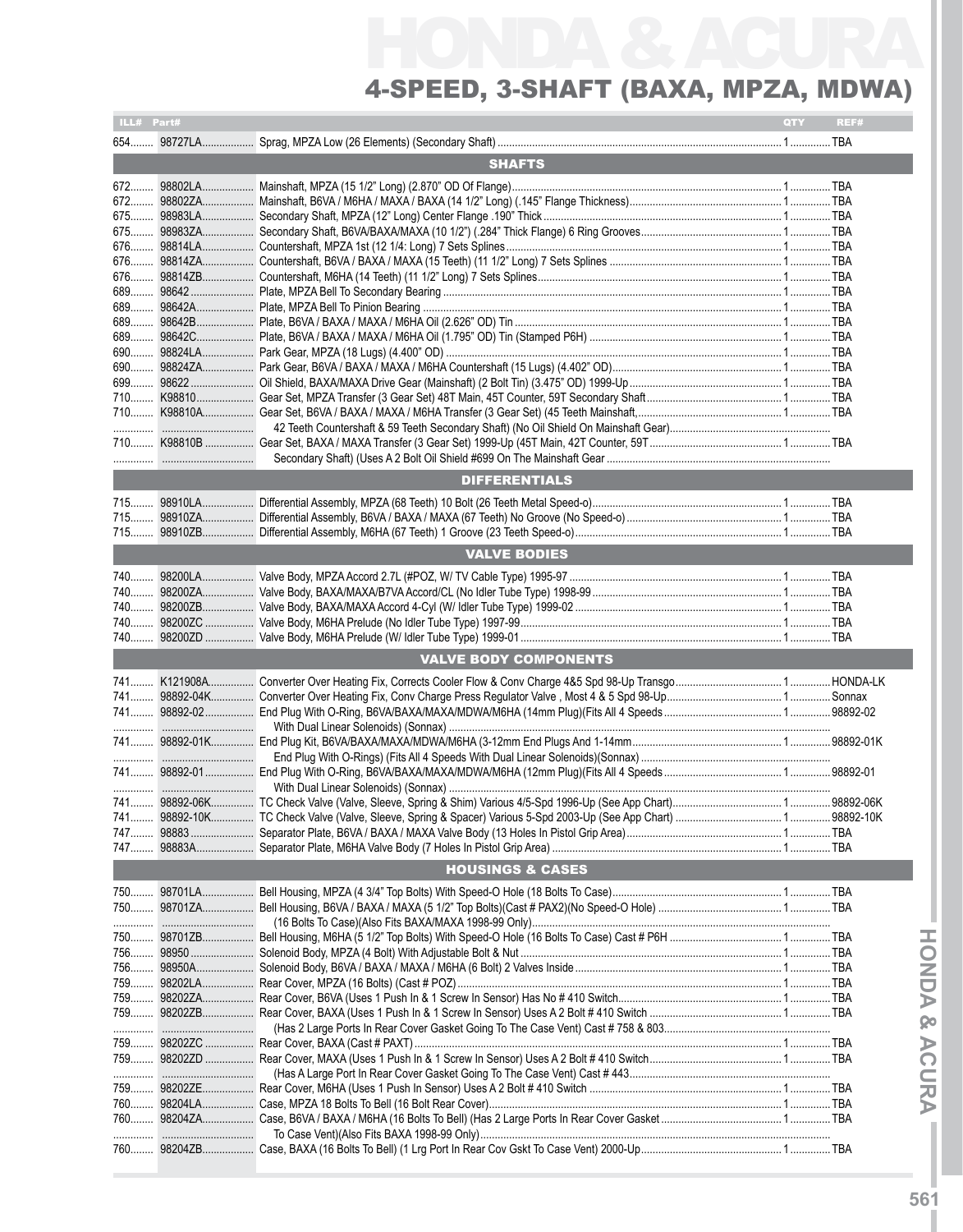# HONDA & ACURA 4-Speed, 3-Shaft (BAXA, MPZA, MDWA)

| ILL# Part#<br>QTY<br>REF# |               |                                                                                                                     |  |  |  |  |  |
|---------------------------|---------------|---------------------------------------------------------------------------------------------------------------------|--|--|--|--|--|
|                           |               |                                                                                                                     |  |  |  |  |  |
|                           | <b>SHAFTS</b> |                                                                                                                     |  |  |  |  |  |
|                           |               |                                                                                                                     |  |  |  |  |  |
|                           |               |                                                                                                                     |  |  |  |  |  |
| $675$                     |               |                                                                                                                     |  |  |  |  |  |
| 675                       |               |                                                                                                                     |  |  |  |  |  |
| 676                       |               |                                                                                                                     |  |  |  |  |  |
|                           |               |                                                                                                                     |  |  |  |  |  |
|                           |               |                                                                                                                     |  |  |  |  |  |
| 689                       |               |                                                                                                                     |  |  |  |  |  |
|                           |               |                                                                                                                     |  |  |  |  |  |
| 689                       |               |                                                                                                                     |  |  |  |  |  |
|                           |               |                                                                                                                     |  |  |  |  |  |
|                           |               |                                                                                                                     |  |  |  |  |  |
| 690                       |               |                                                                                                                     |  |  |  |  |  |
| 699                       |               |                                                                                                                     |  |  |  |  |  |
| 710                       |               |                                                                                                                     |  |  |  |  |  |
|                           |               |                                                                                                                     |  |  |  |  |  |
|                           |               |                                                                                                                     |  |  |  |  |  |
|                           |               |                                                                                                                     |  |  |  |  |  |
|                           |               |                                                                                                                     |  |  |  |  |  |
|                           |               | <b>DIFFERENTIALS</b>                                                                                                |  |  |  |  |  |
|                           |               |                                                                                                                     |  |  |  |  |  |
|                           |               |                                                                                                                     |  |  |  |  |  |
|                           |               |                                                                                                                     |  |  |  |  |  |
|                           |               | <b>VALVE BODIES</b>                                                                                                 |  |  |  |  |  |
|                           |               |                                                                                                                     |  |  |  |  |  |
|                           |               |                                                                                                                     |  |  |  |  |  |
|                           |               |                                                                                                                     |  |  |  |  |  |
|                           |               |                                                                                                                     |  |  |  |  |  |
|                           |               |                                                                                                                     |  |  |  |  |  |
|                           |               | <b>VALVE BODY COMPONENTS</b>                                                                                        |  |  |  |  |  |
|                           |               |                                                                                                                     |  |  |  |  |  |
|                           |               |                                                                                                                     |  |  |  |  |  |
|                           |               |                                                                                                                     |  |  |  |  |  |
|                           |               | 741  98892-01K  End Plug Kit, B6VA/BAXA/MAXA/MDWA/M6HA (3-12mm End Plugs And 1-14mm……………………………………………………………98892-01K |  |  |  |  |  |
|                           |               |                                                                                                                     |  |  |  |  |  |
|                           |               |                                                                                                                     |  |  |  |  |  |
|                           |               |                                                                                                                     |  |  |  |  |  |
|                           |               |                                                                                                                     |  |  |  |  |  |
|                           |               |                                                                                                                     |  |  |  |  |  |
|                           |               |                                                                                                                     |  |  |  |  |  |
|                           |               | <b>HOUSINGS &amp; CASES</b>                                                                                         |  |  |  |  |  |
|                           |               |                                                                                                                     |  |  |  |  |  |
|                           | 750  98701ZA  |                                                                                                                     |  |  |  |  |  |
|                           |               |                                                                                                                     |  |  |  |  |  |
|                           |               |                                                                                                                     |  |  |  |  |  |
|                           |               |                                                                                                                     |  |  |  |  |  |
|                           | 75698950A     |                                                                                                                     |  |  |  |  |  |
|                           | 759   98202LA |                                                                                                                     |  |  |  |  |  |
|                           | 759 98202ZA   |                                                                                                                     |  |  |  |  |  |
|                           | 759 98202ZB   |                                                                                                                     |  |  |  |  |  |
|                           |               |                                                                                                                     |  |  |  |  |  |
|                           | 759  98202ZC  |                                                                                                                     |  |  |  |  |  |
|                           | 759 98202ZD   |                                                                                                                     |  |  |  |  |  |
|                           |               |                                                                                                                     |  |  |  |  |  |
|                           | 759 98202ZE   |                                                                                                                     |  |  |  |  |  |
|                           |               |                                                                                                                     |  |  |  |  |  |
|                           |               |                                                                                                                     |  |  |  |  |  |
|                           |               |                                                                                                                     |  |  |  |  |  |
|                           |               |                                                                                                                     |  |  |  |  |  |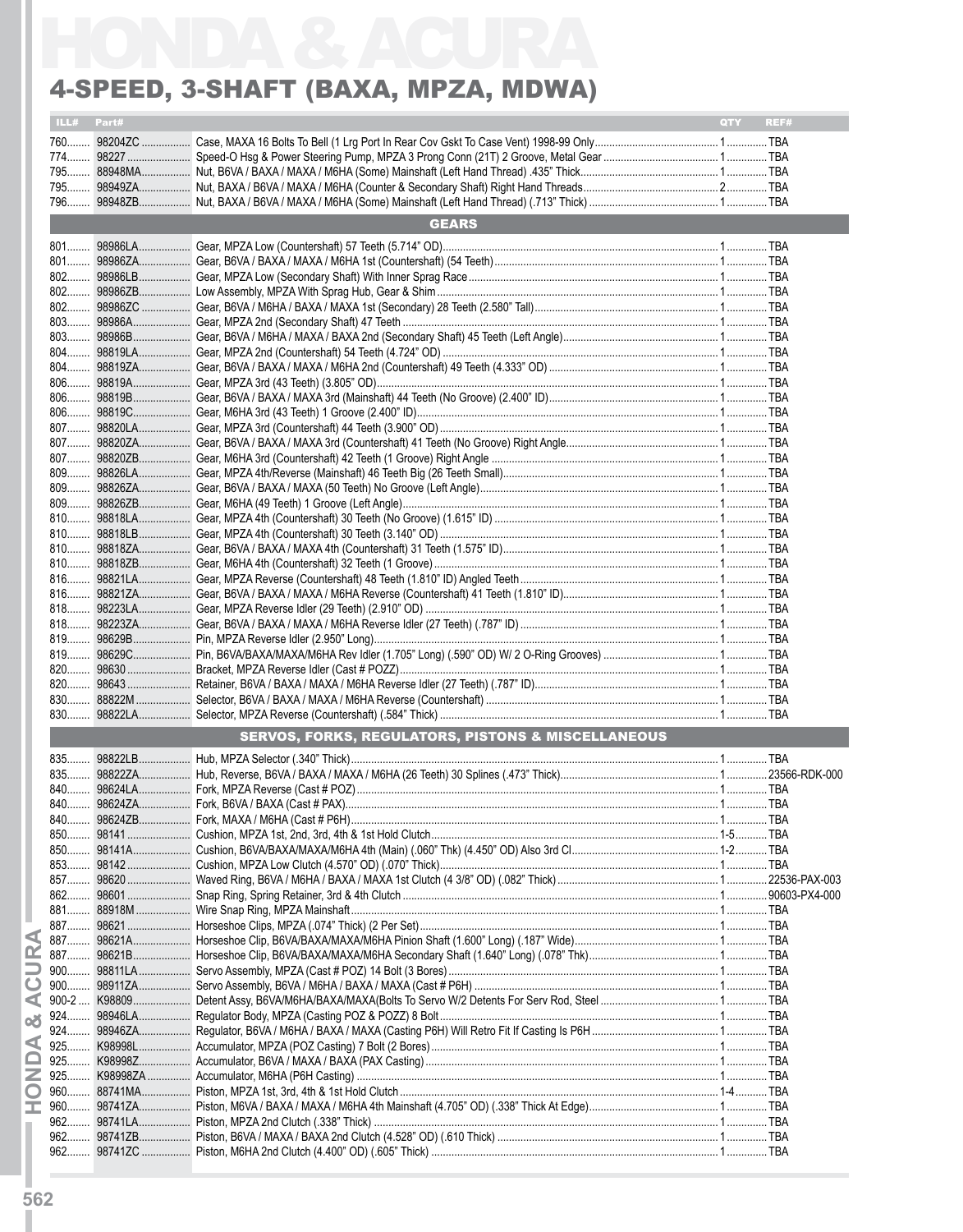#### 4-Speed, 3-Shaft (BAXA, MPZA, MDWA)

|            | 4-SPEED, 3-SHAFT (BAXA, MPZA, MDWA)                           |            |      |
|------------|---------------------------------------------------------------|------------|------|
| ILL# Part# |                                                               | <b>OTY</b> | REF# |
|            |                                                               |            |      |
|            |                                                               |            |      |
|            |                                                               |            |      |
|            |                                                               |            |      |
|            | <b>GEARS</b>                                                  |            |      |
|            |                                                               |            |      |
|            |                                                               |            |      |
|            |                                                               |            |      |
|            |                                                               |            |      |
|            |                                                               |            |      |
|            |                                                               |            |      |
|            |                                                               |            |      |
|            |                                                               |            |      |
|            |                                                               |            |      |
|            |                                                               |            |      |
|            |                                                               |            |      |
|            |                                                               |            |      |
|            |                                                               |            |      |
|            |                                                               |            |      |
|            |                                                               |            |      |
|            |                                                               |            |      |
|            |                                                               |            |      |
|            |                                                               |            |      |
|            |                                                               |            |      |
|            |                                                               |            |      |
|            |                                                               |            |      |
|            |                                                               |            |      |
|            |                                                               |            |      |
|            |                                                               |            |      |
|            |                                                               |            |      |
|            |                                                               |            |      |
|            |                                                               |            |      |
|            |                                                               |            |      |
|            |                                                               |            |      |
|            |                                                               |            |      |
|            |                                                               |            |      |
|            | <b>SERVOS, FORKS, REGULATORS, PISTONS &amp; MISCELLANEOUS</b> |            |      |
|            |                                                               |            |      |
|            |                                                               |            |      |
|            |                                                               |            |      |
|            |                                                               |            |      |
|            |                                                               |            |      |
|            |                                                               |            |      |
|            |                                                               |            |      |
|            |                                                               |            |      |
|            |                                                               |            |      |
|            |                                                               |            |      |
|            |                                                               |            |      |
|            |                                                               |            |      |
|            |                                                               |            |      |
|            |                                                               |            |      |
|            |                                                               |            |      |
|            |                                                               |            |      |
|            |                                                               |            |      |
|            |                                                               |            |      |
|            |                                                               |            |      |
|            |                                                               |            |      |
|            |                                                               |            |      |
|            |                                                               |            |      |
|            |                                                               |            |      |
|            |                                                               |            |      |
|            |                                                               |            |      |